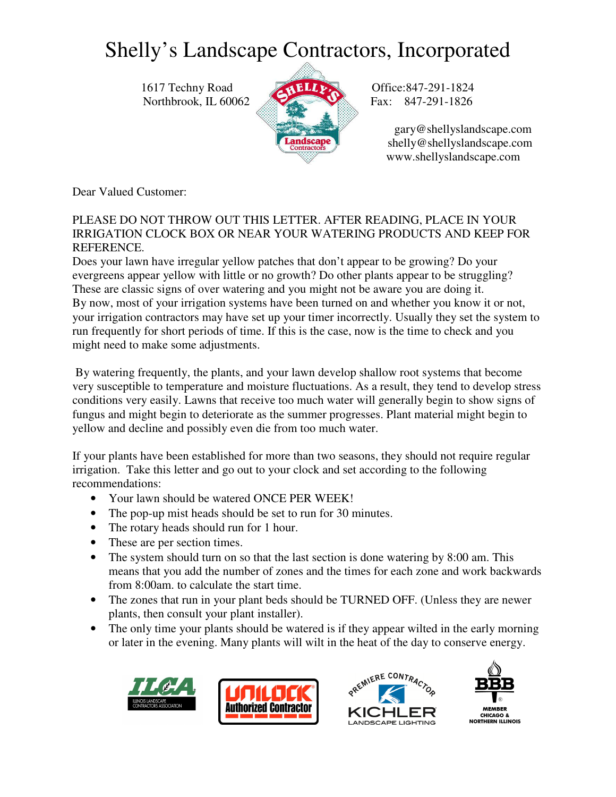## Shelly's Landscape Contractors, Incorporated

1617 Techny Road **ALLEY** Office:847-291-1824 Northbrook, IL 60062 Fax: 847-291-1826



 gary@shellyslandscape.com shelly@shellyslandscape.com www.shellyslandscape.com

Dear Valued Customer:

PLEASE DO NOT THROW OUT THIS LETTER. AFTER READING, PLACE IN YOUR IRRIGATION CLOCK BOX OR NEAR YOUR WATERING PRODUCTS AND KEEP FOR REFERENCE.

Does your lawn have irregular yellow patches that don't appear to be growing? Do your evergreens appear yellow with little or no growth? Do other plants appear to be struggling? These are classic signs of over watering and you might not be aware you are doing it. By now, most of your irrigation systems have been turned on and whether you know it or not, your irrigation contractors may have set up your timer incorrectly. Usually they set the system to run frequently for short periods of time. If this is the case, now is the time to check and you might need to make some adjustments.

 By watering frequently, the plants, and your lawn develop shallow root systems that become very susceptible to temperature and moisture fluctuations. As a result, they tend to develop stress conditions very easily. Lawns that receive too much water will generally begin to show signs of fungus and might begin to deteriorate as the summer progresses. Plant material might begin to yellow and decline and possibly even die from too much water.

If your plants have been established for more than two seasons, they should not require regular irrigation. Take this letter and go out to your clock and set according to the following recommendations:

- Your lawn should be watered ONCE PER WEEK!
- The pop-up mist heads should be set to run for 30 minutes.
- The rotary heads should run for 1 hour.
- These are per section times.
- The system should turn on so that the last section is done watering by 8:00 am. This means that you add the number of zones and the times for each zone and work backwards from 8:00am. to calculate the start time.
- The zones that run in your plant beds should be TURNED OFF. (Unless they are newer plants, then consult your plant installer).
- The only time your plants should be watered is if they appear wilted in the early morning or later in the evening. Many plants will wilt in the heat of the day to conserve energy.







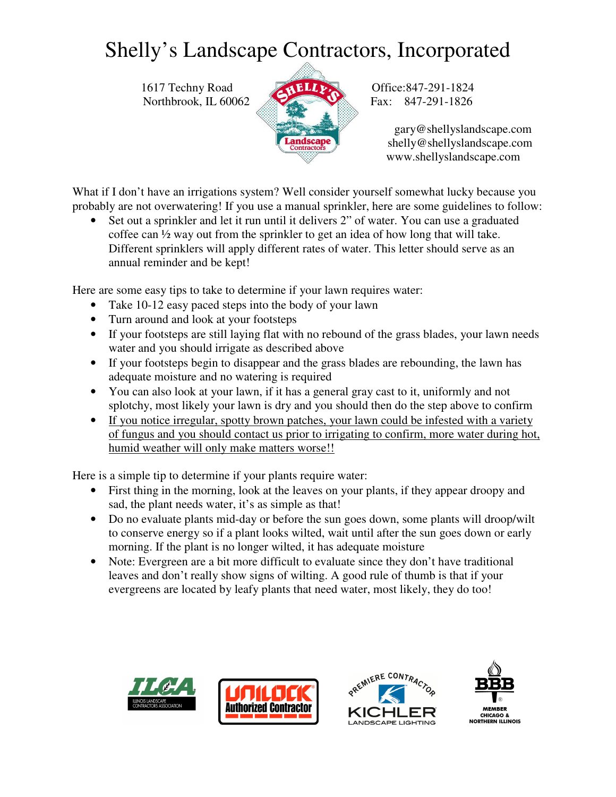## Shelly's Landscape Contractors, Incorporated

1617 Techny Road **ALLACE Office:847-291-1824** Northbrook, IL 60062 Fax: 847-291-1826



 gary@shellyslandscape.com shelly@shellyslandscape.com www.shellyslandscape.com

What if I don't have an irrigations system? Well consider yourself somewhat lucky because you probably are not overwatering! If you use a manual sprinkler, here are some guidelines to follow:

• Set out a sprinkler and let it run until it delivers 2" of water. You can use a graduated coffee can ½ way out from the sprinkler to get an idea of how long that will take. Different sprinklers will apply different rates of water. This letter should serve as an annual reminder and be kept!

Here are some easy tips to take to determine if your lawn requires water:

- Take 10-12 easy paced steps into the body of your lawn
- Turn around and look at your footsteps
- If your footsteps are still laying flat with no rebound of the grass blades, your lawn needs water and you should irrigate as described above
- If your footsteps begin to disappear and the grass blades are rebounding, the lawn has adequate moisture and no watering is required
- You can also look at your lawn, if it has a general gray cast to it, uniformly and not splotchy, most likely your lawn is dry and you should then do the step above to confirm
- If you notice irregular, spotty brown patches, your lawn could be infested with a variety of fungus and you should contact us prior to irrigating to confirm, more water during hot, humid weather will only make matters worse!!

Here is a simple tip to determine if your plants require water:

- First thing in the morning, look at the leaves on your plants, if they appear droopy and sad, the plant needs water, it's as simple as that!
- Do no evaluate plants mid-day or before the sun goes down, some plants will droop/wilt to conserve energy so if a plant looks wilted, wait until after the sun goes down or early morning. If the plant is no longer wilted, it has adequate moisture
- Note: Evergreen are a bit more difficult to evaluate since they don't have traditional leaves and don't really show signs of wilting. A good rule of thumb is that if your evergreens are located by leafy plants that need water, most likely, they do too!